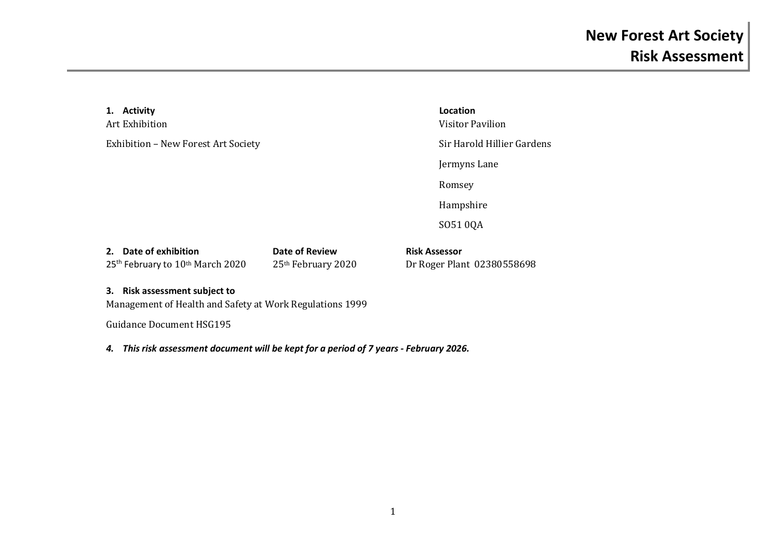| 1. Activity<br>Art Exhibition                                                             |                                      | Location<br>Visitor Pavilion                       |  |
|-------------------------------------------------------------------------------------------|--------------------------------------|----------------------------------------------------|--|
| Exhibition - New Forest Art Society                                                       |                                      | Sir Harold Hillier Gardens                         |  |
|                                                                                           |                                      | Jermyns Lane                                       |  |
|                                                                                           |                                      | Romsey                                             |  |
|                                                                                           |                                      | Hampshire                                          |  |
|                                                                                           |                                      | SO51 0QA                                           |  |
| 2. Date of exhibition<br>25 <sup>th</sup> February to 10 <sup>th</sup> March 2020         | Date of Review<br>25th February 2020 | <b>Risk Assessor</b><br>Dr Roger Plant 02380558698 |  |
| 3. Risk assessment subject to<br>Management of Health and Safety at Work Regulations 1999 |                                      |                                                    |  |

Guidance Document HSG195

*4. This risk assessment document will be kept for a period of 7 years - February 2026.*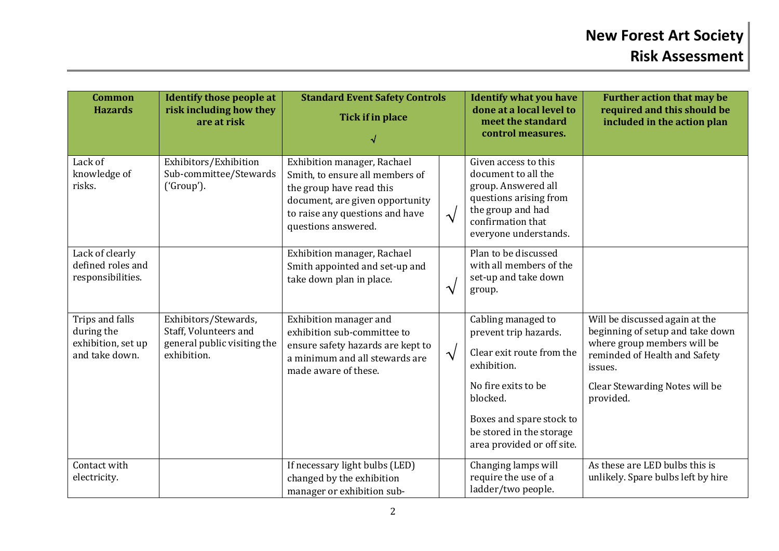| <b>Common</b><br><b>Hazards</b>                                       | <b>Identify those people at</b><br>risk including how they<br>are at risk                   | <b>Standard Event Safety Controls</b><br>Tick if in place                                                                                                                               |                       | <b>Identify what you have</b><br>done at a local level to<br>meet the standard<br>control measures.                                                                                                              | <b>Further action that may be</b><br>required and this should be<br>included in the action plan                                                                                              |
|-----------------------------------------------------------------------|---------------------------------------------------------------------------------------------|-----------------------------------------------------------------------------------------------------------------------------------------------------------------------------------------|-----------------------|------------------------------------------------------------------------------------------------------------------------------------------------------------------------------------------------------------------|----------------------------------------------------------------------------------------------------------------------------------------------------------------------------------------------|
| Lack of<br>knowledge of<br>risks.                                     | Exhibitors/Exhibition<br>Sub-committee/Stewards<br>('Group').                               | Exhibition manager, Rachael<br>Smith, to ensure all members of<br>the group have read this<br>document, are given opportunity<br>to raise any questions and have<br>questions answered. | $\sqrt{}$             | Given access to this<br>document to all the<br>group. Answered all<br>questions arising from<br>the group and had<br>confirmation that<br>everyone understands.                                                  |                                                                                                                                                                                              |
| Lack of clearly<br>defined roles and<br>responsibilities.             |                                                                                             | Exhibition manager, Rachael<br>Smith appointed and set-up and<br>take down plan in place.                                                                                               | $\boldsymbol{\gamma}$ | Plan to be discussed<br>with all members of the<br>set-up and take down<br>group.                                                                                                                                |                                                                                                                                                                                              |
| Trips and falls<br>during the<br>exhibition, set up<br>and take down. | Exhibitors/Stewards,<br>Staff, Volunteers and<br>general public visiting the<br>exhibition. | Exhibition manager and<br>exhibition sub-committee to<br>ensure safety hazards are kept to<br>a minimum and all stewards are<br>made aware of these.                                    | $\sqrt{}$             | Cabling managed to<br>prevent trip hazards.<br>Clear exit route from the<br>exhibition.<br>No fire exits to be<br>blocked.<br>Boxes and spare stock to<br>be stored in the storage<br>area provided or off site. | Will be discussed again at the<br>beginning of setup and take down<br>where group members will be<br>reminded of Health and Safety<br>issues.<br>Clear Stewarding Notes will be<br>provided. |
| Contact with<br>electricity.                                          |                                                                                             | If necessary light bulbs (LED)<br>changed by the exhibition<br>manager or exhibition sub-                                                                                               |                       | Changing lamps will<br>require the use of a<br>ladder/two people.                                                                                                                                                | As these are LED bulbs this is<br>unlikely. Spare bulbs left by hire                                                                                                                         |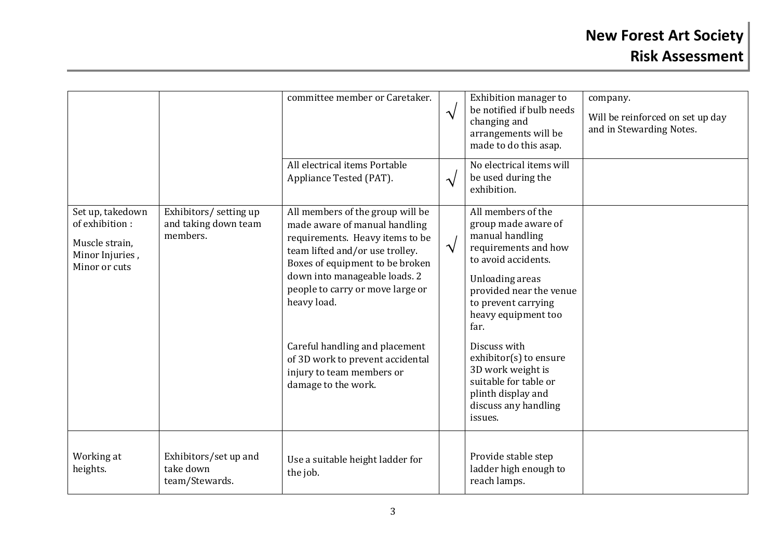|                                                                                          |                                                            | committee member or Caretaker.                                                                                                                                                                                                                                                                                                                                    | $\sqrt{ }$ | Exhibition manager to<br>be notified if bulb needs<br>changing and<br>arrangements will be<br>made to do this asap.                                                                                                                                                            | company.<br>Will be reinforced on set up day<br>and in Stewarding Notes. |
|------------------------------------------------------------------------------------------|------------------------------------------------------------|-------------------------------------------------------------------------------------------------------------------------------------------------------------------------------------------------------------------------------------------------------------------------------------------------------------------------------------------------------------------|------------|--------------------------------------------------------------------------------------------------------------------------------------------------------------------------------------------------------------------------------------------------------------------------------|--------------------------------------------------------------------------|
|                                                                                          |                                                            | All electrical items Portable<br>Appliance Tested (PAT).                                                                                                                                                                                                                                                                                                          | $\sqrt{ }$ | No electrical items will<br>be used during the<br>exhibition.                                                                                                                                                                                                                  |                                                                          |
| Set up, takedown<br>of exhibition:<br>Muscle strain,<br>Minor Injuries,<br>Minor or cuts | Exhibitors/ setting up<br>and taking down team<br>members. | All members of the group will be<br>made aware of manual handling<br>requirements. Heavy items to be<br>team lifted and/or use trolley.<br>Boxes of equipment to be broken<br>down into manageable loads. 2<br>people to carry or move large or<br>heavy load.<br>Careful handling and placement<br>of 3D work to prevent accidental<br>injury to team members or | $\sqrt{ }$ | All members of the<br>group made aware of<br>manual handling<br>requirements and how<br>to avoid accidents.<br>Unloading areas<br>provided near the venue<br>to prevent carrying<br>heavy equipment too<br>far.<br>Discuss with<br>exhibitor(s) to ensure<br>3D work weight is |                                                                          |
|                                                                                          |                                                            | damage to the work.                                                                                                                                                                                                                                                                                                                                               |            | suitable for table or<br>plinth display and<br>discuss any handling<br>issues.                                                                                                                                                                                                 |                                                                          |
| Working at<br>heights.                                                                   | Exhibitors/set up and<br>take down<br>team/Stewards.       | Use a suitable height ladder for<br>the job.                                                                                                                                                                                                                                                                                                                      |            | Provide stable step<br>ladder high enough to<br>reach lamps.                                                                                                                                                                                                                   |                                                                          |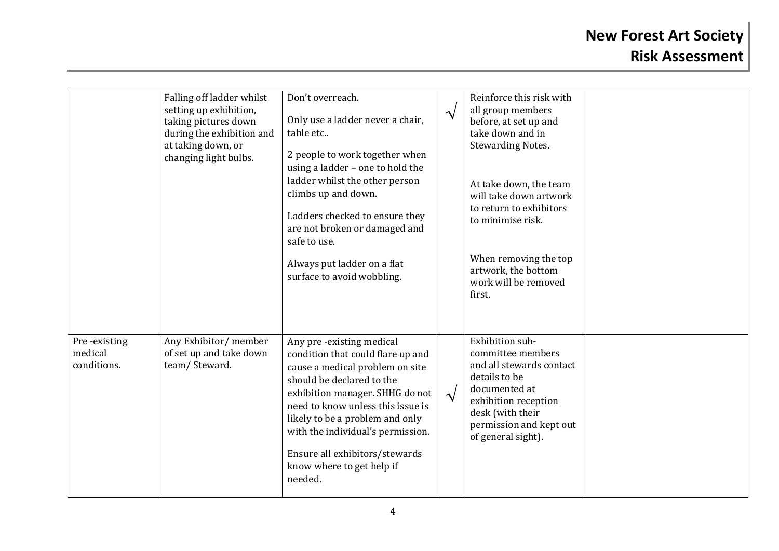|                                        | Falling off ladder whilst<br>setting up exhibition,<br>taking pictures down<br>during the exhibition and<br>at taking down, or<br>changing light bulbs. | Don't overreach.<br>Only use a ladder never a chair,<br>table etc<br>2 people to work together when<br>using a ladder - one to hold the<br>ladder whilst the other person<br>climbs up and down.<br>Ladders checked to ensure they<br>are not broken or damaged and<br>safe to use.<br>Always put ladder on a flat<br>surface to avoid wobbling.        | $\boldsymbol{\mathcal{N}}$ | Reinforce this risk with<br>all group members<br>before, at set up and<br>take down and in<br><b>Stewarding Notes.</b><br>At take down, the team<br>will take down artwork<br>to return to exhibitors<br>to minimise risk.<br>When removing the top<br>artwork, the bottom<br>work will be removed<br>first. |  |
|----------------------------------------|---------------------------------------------------------------------------------------------------------------------------------------------------------|---------------------------------------------------------------------------------------------------------------------------------------------------------------------------------------------------------------------------------------------------------------------------------------------------------------------------------------------------------|----------------------------|--------------------------------------------------------------------------------------------------------------------------------------------------------------------------------------------------------------------------------------------------------------------------------------------------------------|--|
| Pre-existing<br>medical<br>conditions. | Any Exhibitor/ member<br>of set up and take down<br>team/Steward.                                                                                       | Any pre-existing medical<br>condition that could flare up and<br>cause a medical problem on site<br>should be declared to the<br>exhibition manager. SHHG do not<br>need to know unless this issue is<br>likely to be a problem and only<br>with the individual's permission.<br>Ensure all exhibitors/stewards<br>know where to get help if<br>needed. | $\sqrt{}$                  | Exhibition sub-<br>committee members<br>and all stewards contact<br>details to be<br>documented at<br>exhibition reception<br>desk (with their<br>permission and kept out<br>of general sight).                                                                                                              |  |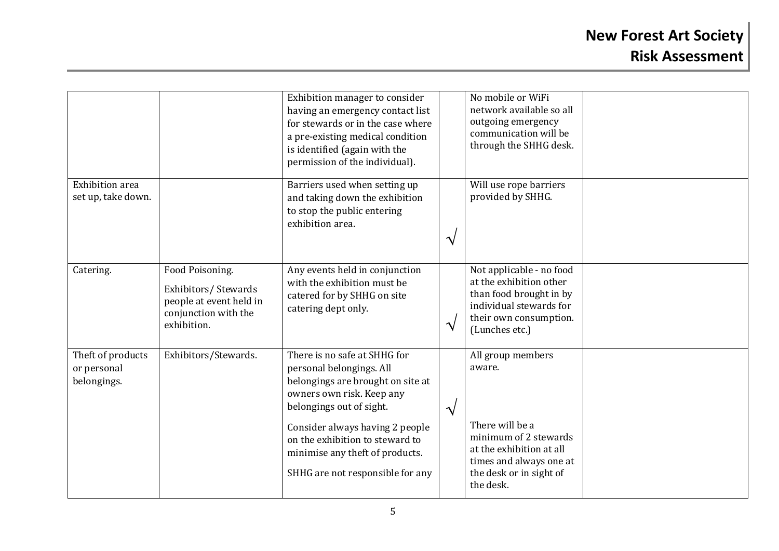|                                                 |                                                                                                          | Exhibition manager to consider<br>having an emergency contact list<br>for stewards or in the case where<br>a pre-existing medical condition<br>is identified (again with the<br>permission of the individual).                                                                                      |                       | No mobile or WiFi<br>network available so all<br>outgoing emergency<br>communication will be<br>through the SHHG desk.                                                 |  |
|-------------------------------------------------|----------------------------------------------------------------------------------------------------------|-----------------------------------------------------------------------------------------------------------------------------------------------------------------------------------------------------------------------------------------------------------------------------------------------------|-----------------------|------------------------------------------------------------------------------------------------------------------------------------------------------------------------|--|
| <b>Exhibition</b> area<br>set up, take down.    |                                                                                                          | Barriers used when setting up<br>and taking down the exhibition<br>to stop the public entering<br>exhibition area.                                                                                                                                                                                  | $\boldsymbol{\gamma}$ | Will use rope barriers<br>provided by SHHG.                                                                                                                            |  |
| Catering.                                       | Food Poisoning.<br>Exhibitors/Stewards<br>people at event held in<br>conjunction with the<br>exhibition. | Any events held in conjunction<br>with the exhibition must be<br>catered for by SHHG on site<br>catering dept only.                                                                                                                                                                                 | $\boldsymbol{\gamma}$ | Not applicable - no food<br>at the exhibition other<br>than food brought in by<br>individual stewards for<br>their own consumption.<br>(Lunches etc.)                  |  |
| Theft of products<br>or personal<br>belongings. | Exhibitors/Stewards.                                                                                     | There is no safe at SHHG for<br>personal belongings. All<br>belongings are brought on site at<br>owners own risk. Keep any<br>belongings out of sight.<br>Consider always having 2 people<br>on the exhibition to steward to<br>minimise any theft of products.<br>SHHG are not responsible for any | $\boldsymbol{\gamma}$ | All group members<br>aware.<br>There will be a<br>minimum of 2 stewards<br>at the exhibition at all<br>times and always one at<br>the desk or in sight of<br>the desk. |  |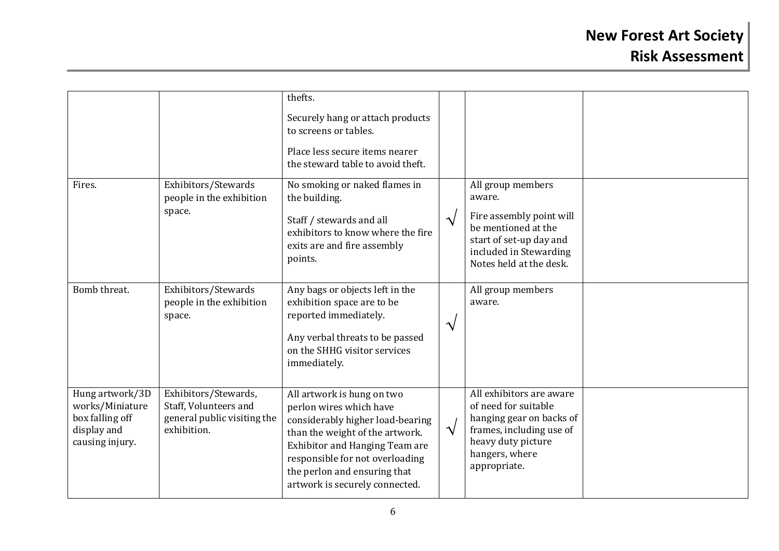|                                                                                         |                                                                                             | thefts.<br>Securely hang or attach products<br>to screens or tables.<br>Place less secure items nearer                                                                                                                                                              |               |                                                                                                                                                                  |  |
|-----------------------------------------------------------------------------------------|---------------------------------------------------------------------------------------------|---------------------------------------------------------------------------------------------------------------------------------------------------------------------------------------------------------------------------------------------------------------------|---------------|------------------------------------------------------------------------------------------------------------------------------------------------------------------|--|
| Fires.                                                                                  | Exhibitors/Stewards<br>people in the exhibition<br>space.                                   | the steward table to avoid theft.<br>No smoking or naked flames in<br>the building.<br>Staff / stewards and all<br>exhibitors to know where the fire<br>exits are and fire assembly<br>points.                                                                      | $\sqrt{ }$    | All group members<br>aware.<br>Fire assembly point will<br>be mentioned at the<br>start of set-up day and<br>included in Stewarding<br>Notes held at the desk.   |  |
| Bomb threat.                                                                            | Exhibitors/Stewards<br>people in the exhibition<br>space.                                   | Any bags or objects left in the<br>exhibition space are to be<br>reported immediately.<br>Any verbal threats to be passed<br>on the SHHG visitor services<br>immediately.                                                                                           | $\mathcal{N}$ | All group members<br>aware.                                                                                                                                      |  |
| Hung artwork/3D<br>works/Miniature<br>box falling off<br>display and<br>causing injury. | Exhibitors/Stewards,<br>Staff, Volunteers and<br>general public visiting the<br>exhibition. | All artwork is hung on two<br>perlon wires which have<br>considerably higher load-bearing<br>than the weight of the artwork.<br>Exhibitor and Hanging Team are<br>responsible for not overloading<br>the perlon and ensuring that<br>artwork is securely connected. | $\mathcal{N}$ | All exhibitors are aware<br>of need for suitable<br>hanging gear on backs of<br>frames, including use of<br>heavy duty picture<br>hangers, where<br>appropriate. |  |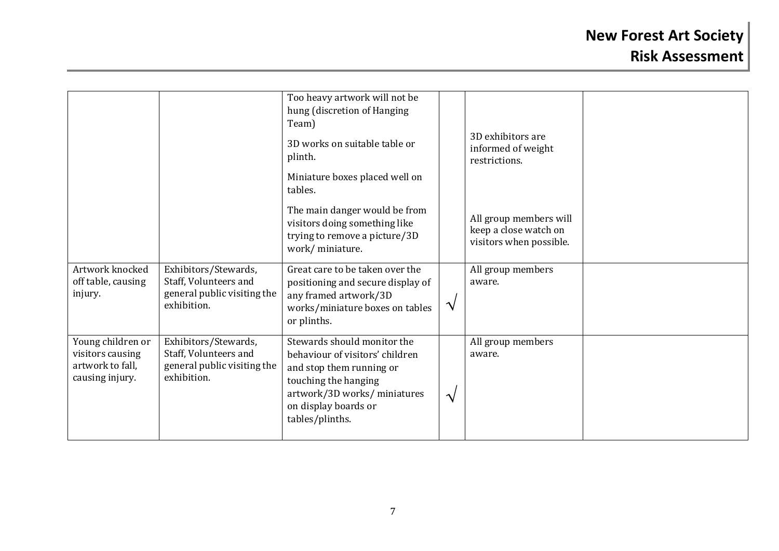|                                                                              |                                                                                             | Too heavy artwork will not be<br>hung (discretion of Hanging<br>Team)                                                                                                                         |               |                                                                            |  |
|------------------------------------------------------------------------------|---------------------------------------------------------------------------------------------|-----------------------------------------------------------------------------------------------------------------------------------------------------------------------------------------------|---------------|----------------------------------------------------------------------------|--|
|                                                                              |                                                                                             | 3D works on suitable table or<br>plinth.                                                                                                                                                      |               | 3D exhibitors are<br>informed of weight<br>restrictions.                   |  |
|                                                                              |                                                                                             | Miniature boxes placed well on<br>tables.                                                                                                                                                     |               |                                                                            |  |
|                                                                              |                                                                                             | The main danger would be from<br>visitors doing something like<br>trying to remove a picture/3D<br>work/miniature.                                                                            |               | All group members will<br>keep a close watch on<br>visitors when possible. |  |
| Artwork knocked<br>off table, causing<br>injury.                             | Exhibitors/Stewards,<br>Staff, Volunteers and<br>general public visiting the<br>exhibition. | Great care to be taken over the<br>positioning and secure display of<br>any framed artwork/3D<br>works/miniature boxes on tables<br>or plinths.                                               | $\mathcal{N}$ | All group members<br>aware.                                                |  |
| Young children or<br>visitors causing<br>artwork to fall,<br>causing injury. | Exhibitors/Stewards,<br>Staff, Volunteers and<br>general public visiting the<br>exhibition. | Stewards should monitor the<br>behaviour of visitors' children<br>and stop them running or<br>touching the hanging<br>artwork/3D works/ miniatures<br>on display boards or<br>tables/plinths. | $\mathcal{N}$ | All group members<br>aware.                                                |  |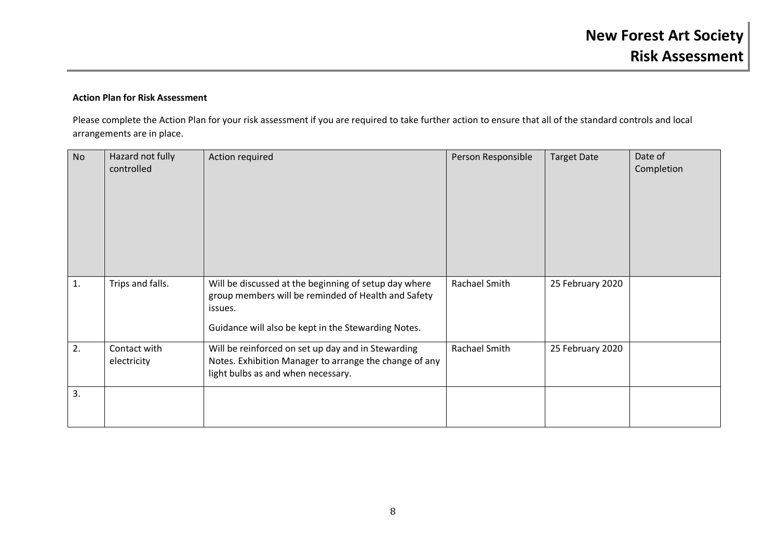## **Action Plan for Risk Assessment**

Please complete the Action Plan for your risk assessment if you are required to take further action to ensure that all of the standard controls and local arrangements are in place.

| <b>No</b> | Hazard not fully<br>controlled | Action required                                                                                                                                                                | Person Responsible | <b>Target Date</b> | Date of<br>Completion |
|-----------|--------------------------------|--------------------------------------------------------------------------------------------------------------------------------------------------------------------------------|--------------------|--------------------|-----------------------|
| 1.        | Trips and falls.               | Will be discussed at the beginning of setup day where<br>group members will be reminded of Health and Safety<br>issues.<br>Guidance will also be kept in the Stewarding Notes. | Rachael Smith      | 25 February 2020   |                       |
| 2.        | Contact with<br>electricity    | Will be reinforced on set up day and in Stewarding<br>Notes. Exhibition Manager to arrange the change of any<br>light bulbs as and when necessary.                             | Rachael Smith      | 25 February 2020   |                       |
| 3.        |                                |                                                                                                                                                                                |                    |                    |                       |